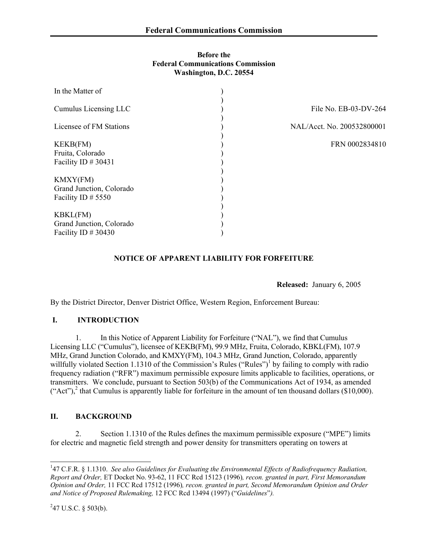#### **Before the Federal Communications Commission Washington, D.C. 20554**

| In the Matter of                                                      |                            |
|-----------------------------------------------------------------------|----------------------------|
| Cumulus Licensing LLC                                                 | File No. EB-03-DV-264      |
| Licensee of FM Stations                                               | NAL/Acct. No. 200532800001 |
| <b>KEKB(FM)</b><br>Fruita, Colorado<br>Facility ID # 30431            | FRN 0002834810             |
| <b>KMXY(FM)</b><br>Grand Junction, Colorado<br>Facility ID $# 5550$   |                            |
| <b>KBKL(FM)</b><br>Grand Junction, Colorado<br>Facility ID $\#$ 30430 |                            |

# **NOTICE OF APPARENT LIABILITY FOR FORFEITURE**

 **Released:** January 6, 2005

By the District Director, Denver District Office, Western Region, Enforcement Bureau:

### **I. INTRODUCTION**

1. In this Notice of Apparent Liability for Forfeiture ("NAL"), we find that Cumulus Licensing LLC ("Cumulus"), licensee of KEKB(FM), 99.9 MHz, Fruita, Colorado, KBKL(FM), 107.9 MHz, Grand Junction Colorado, and KMXY(FM), 104.3 MHz, Grand Junction, Colorado, apparently willfully violated Section 1.1310 of the Commission's Rules ("Rules")<sup>1</sup> by failing to comply with radio frequency radiation ("RFR") maximum permissible exposure limits applicable to facilities, operations, or transmitters. We conclude, pursuant to Section 503(b) of the Communications Act of 1934, as amended  $("Act")$ , that Cumulus is apparently liable for forfeiture in the amount of ten thousand dollars (\$10,000).

### **II. BACKGROUND**

2. Section 1.1310 of the Rules defines the maximum permissible exposure ("MPE") limits for electric and magnetic field strength and power density for transmitters operating on towers at

 $\overline{a}$ 

<sup>&</sup>lt;sup>1</sup>47 C.F.R. § 1.1310. *See also Guidelines for Evaluating the Environmental Effects of Radiofrequency Radiation, Report and Order,* ET Docket No. 93-62, 11 FCC Rcd 15123 (1996)*, recon. granted in part, First Memorandum Opinion and Order,* 11 FCC Rcd 17512 (1996)*, recon. granted in part, Second Memorandum Opinion and Order and Notice of Proposed Rulemaking,* 12 FCC Rcd 13494 (1997) ("*Guidelines*"*).*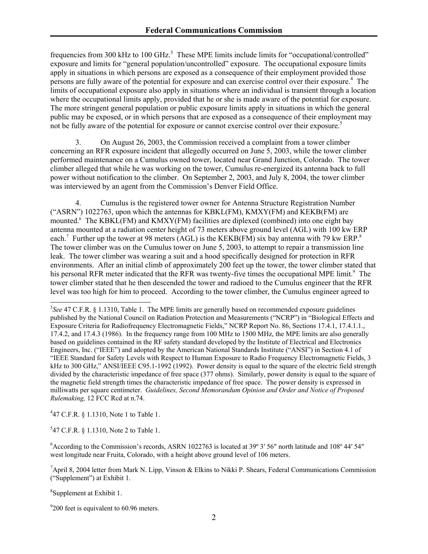frequencies from 300 kHz to 100 GHz.<sup>3</sup> These MPE limits include limits for "occupational/controlled" exposure and limits for "general population/uncontrolled" exposure. The occupational exposure limits apply in situations in which persons are exposed as a consequence of their employment provided those persons are fully aware of the potential for exposure and can exercise control over their exposure.<sup>4</sup> The limits of occupational exposure also apply in situations where an individual is transient through a location where the occupational limits apply, provided that he or she is made aware of the potential for exposure. The more stringent general population or public exposure limits apply in situations in which the general public may be exposed, or in which persons that are exposed as a consequence of their employment may not be fully aware of the potential for exposure or cannot exercise control over their exposure.<sup>5</sup>

3. On August 26, 2003, the Commission received a complaint from a tower climber concerning an RFR exposure incident that allegedly occurred on June 5, 2003, while the tower climber performed maintenance on a Cumulus owned tower, located near Grand Junction, Colorado. The tower climber alleged that while he was working on the tower, Cumulus re-energized its antenna back to full power without notification to the climber. On September 2, 2003, and July 8, 2004, the tower climber was interviewed by an agent from the Commission's Denver Field Office.

4. Cumulus is the registered tower owner for Antenna Structure Registration Number ("ASRN") 1022763, upon which the antennas for KBKL(FM), KMXY(FM) and KEKB(FM) are mounted.<sup>6</sup> The KBKL(FM) and KMXY(FM) facilities are diplexed (combined) into one eight bay antenna mounted at a radiation center height of 73 meters above ground level (AGL) with 100 kw ERP each.<sup>7</sup> Further up the tower at 98 meters (AGL) is the KEKB(FM) six bay antenna with 79 kw ERP.<sup>8</sup> The tower climber was on the Cumulus tower on June 5, 2003, to attempt to repair a transmission line leak. The tower climber was wearing a suit and a hood specifically designed for protection in RFR environments. After an initial climb of approximately 200 feet up the tower, the tower climber stated that his personal RFR meter indicated that the RFR was twenty-five times the occupational MPE limit.<sup>9</sup> The tower climber stated that he then descended the tower and radioed to the Cumulus engineer that the RFR level was too high for him to proceed. According to the tower climber, the Cumulus engineer agreed to

4 47 C.F.R. § 1.1310, Note 1 to Table 1.

5 47 C.F.R. § 1.1310, Note 2 to Table 1.

8 Supplement at Exhibit 1.

 $\overline{\phantom{a}}$ 

<sup>9</sup>200 feet is equivalent to 60.96 meters.

<sup>&</sup>lt;sup>3</sup>See 47 C.F.R. § 1.1310, Table 1. The MPE limits are generally based on recommended exposure guidelines published by the National Council on Radiation Protection and Measurements ("NCRP") in "Biological Effects and Exposure Criteria for Radiofrequency Electromagnetic Fields," NCRP Report No. 86, Sections 17.4.1, 17.4.1.1., 17.4.2, and 17.4.3 (1986). In the frequency range from 100 MHz to 1500 MHz, the MPE limits are also generally based on guidelines contained in the RF safety standard developed by the Institute of Electrical and Electronics Engineers, Inc. ("IEEE") and adopted by the American National Standards Institute ("ANSI") in Section 4.1 of "IEEE Standard for Safety Levels with Respect to Human Exposure to Radio Frequency Electromagnetic Fields, 3 kHz to 300 GHz," ANSI/IEEE C95.1-1992 (1992). Power density is equal to the square of the electric field strength divided by the characteristic impedance of free space (377 ohms). Similarly, power density is equal to the square of the magnetic field strength times the characteristic impedance of free space. The power density is expressed in milliwatts per square centimeter. *Guidelines, Second Memorandum Opinion and Order and Notice of Proposed Rulemaking,* 12 FCC Rcd at n.74.

<sup>&</sup>lt;sup>6</sup> According to the Commission's records, ASRN 1022763 is located at 39° 3′ 56″ north latitude and 108° 44′ 54″ west longitude near Fruita, Colorado, with a height above ground level of 106 meters.

<sup>&</sup>lt;sup>7</sup>April 8, 2004 letter from Mark N. Lipp, Vinson & Elkins to Nikki P. Shears, Federal Communications Commission ("Supplement") at Exhibit 1.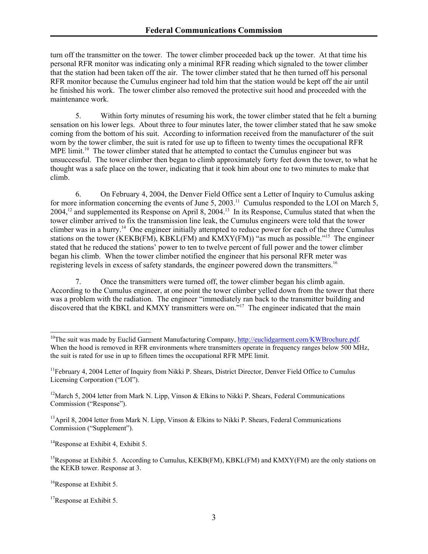turn off the transmitter on the tower. The tower climber proceeded back up the tower. At that time his personal RFR monitor was indicating only a minimal RFR reading which signaled to the tower climber that the station had been taken off the air. The tower climber stated that he then turned off his personal RFR monitor because the Cumulus engineer had told him that the station would be kept off the air until he finished his work. The tower climber also removed the protective suit hood and proceeded with the maintenance work.

5. Within forty minutes of resuming his work, the tower climber stated that he felt a burning sensation on his lower legs. About three to four minutes later, the tower climber stated that he saw smoke coming from the bottom of his suit. According to information received from the manufacturer of the suit worn by the tower climber, the suit is rated for use up to fifteen to twenty times the occupational RFR MPE limit.<sup>10</sup> The tower climber stated that he attempted to contact the Cumulus engineer but was unsuccessful. The tower climber then began to climb approximately forty feet down the tower, to what he thought was a safe place on the tower, indicating that it took him about one to two minutes to make that climb.

6. On February 4, 2004, the Denver Field Office sent a Letter of Inquiry to Cumulus asking for more information concerning the events of June 5, 2003.<sup>11</sup> Cumulus responded to the LOI on March 5, 2004,12 and supplemented its Response on April 8, 2004.13 In its Response, Cumulus stated that when the tower climber arrived to fix the transmission line leak, the Cumulus engineers were told that the tower climber was in a hurry.<sup>14</sup> One engineer initially attempted to reduce power for each of the three Cumulus stations on the tower (KEKB(FM), KBKL(FM) and KMXY(FM)) "as much as possible."<sup>15</sup> The engineer stated that he reduced the stations' power to ten to twelve percent of full power and the tower climber began his climb. When the tower climber notified the engineer that his personal RFR meter was registering levels in excess of safety standards, the engineer powered down the transmitters.<sup>16</sup>

7. Once the transmitters were turned off, the tower climber began his climb again. According to the Cumulus engineer, at one point the tower climber yelled down from the tower that there was a problem with the radiation. The engineer "immediately ran back to the transmitter building and discovered that the KBKL and KMXY transmitters were on."<sup>17</sup> The engineer indicated that the main

<sup>14</sup>Response at Exhibit 4, Exhibit 5.

<sup>16</sup>Response at Exhibit 5.

 $\overline{\phantom{a}}$ 

<sup>&</sup>lt;sup>10</sup>The suit was made by Euclid Garment Manufacturing Company, http://euclidgarment.com/KWBrochure.pdf. When the hood is removed in RFR environments where transmitters operate in frequency ranges below 500 MHz, the suit is rated for use in up to fifteen times the occupational RFR MPE limit.

<sup>&</sup>lt;sup>11</sup>February 4, 2004 Letter of Inquiry from Nikki P. Shears, District Director, Denver Field Office to Cumulus Licensing Corporation ("LOI").

<sup>&</sup>lt;sup>12</sup>March 5, 2004 letter from Mark N. Lipp, Vinson & Elkins to Nikki P. Shears, Federal Communications Commission ("Response").

<sup>&</sup>lt;sup>13</sup>April 8, 2004 letter from Mark N. Lipp, Vinson & Elkins to Nikki P. Shears, Federal Communications Commission ("Supplement").

<sup>&</sup>lt;sup>15</sup>Response at Exhibit 5. According to Cumulus, KEKB(FM), KBKL(FM) and KMXY(FM) are the only stations on the KEKB tower. Response at 3.

<sup>&</sup>lt;sup>17</sup>Response at Exhibit 5.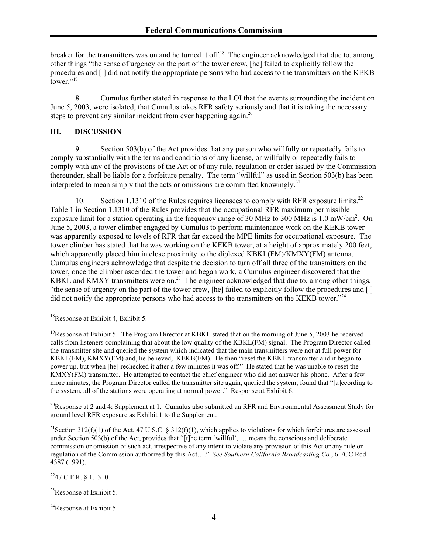breaker for the transmitters was on and he turned it off.<sup>18</sup> The engineer acknowledged that due to, among other things "the sense of urgency on the part of the tower crew, [he] failed to explicitly follow the procedures and [ ] did not notify the appropriate persons who had access to the transmitters on the KEKB tower." $^{19}$ 

8. Cumulus further stated in response to the LOI that the events surrounding the incident on June 5, 2003, were isolated, that Cumulus takes RFR safety seriously and that it is taking the necessary steps to prevent any similar incident from ever happening again.<sup>20</sup>

# **III. DISCUSSION**

9. Section 503(b) of the Act provides that any person who willfully or repeatedly fails to comply substantially with the terms and conditions of any license, or willfully or repeatedly fails to comply with any of the provisions of the Act or of any rule, regulation or order issued by the Commission thereunder, shall be liable for a forfeiture penalty. The term "willful" as used in Section 503(b) has been interpreted to mean simply that the acts or omissions are committed knowingly.<sup>21</sup>

10. Section 1.1310 of the Rules requires licensees to comply with RFR exposure limits.<sup>22</sup> Table 1 in Section 1.1310 of the Rules provides that the occupational RFR maximum permissible exposure limit for a station operating in the frequency range of 30 MHz to 300 MHz is 1.0 mW/cm<sup>2</sup>. On June 5, 2003, a tower climber engaged by Cumulus to perform maintenance work on the KEKB tower was apparently exposed to levels of RFR that far exceed the MPE limits for occupational exposure. The tower climber has stated that he was working on the KEKB tower, at a height of approximately 200 feet, which apparently placed him in close proximity to the diplexed KBKL(FM)/KMXY(FM) antenna. Cumulus engineers acknowledge that despite the decision to turn off all three of the transmitters on the tower, once the climber ascended the tower and began work, a Cumulus engineer discovered that the KBKL and KMXY transmitters were on.<sup>23</sup> The engineer acknowledged that due to, among other things, "the sense of urgency on the part of the tower crew, [he] failed to explicitly follow the procedures and [ ] did not notify the appropriate persons who had access to the transmitters on the KEKB tower."<sup>24</sup>

 $^{20}$ Response at 2 and 4; Supplement at 1. Cumulus also submitted an RFR and Environmental Assessment Study for ground level RFR exposure as Exhibit 1 to the Supplement.

<sup>21</sup>Section 312(f)(1) of the Act, 47 U.S.C. § 312(f)(1), which applies to violations for which forfeitures are assessed under Section 503(b) of the Act, provides that "[t]he term 'willful', … means the conscious and deliberate commission or omission of such act, irrespective of any intent to violate any provision of this Act or any rule or regulation of the Commission authorized by this Act…." *See Southern California Broadcasting Co.*, 6 FCC Rcd 4387 (1991).

 $^{22}$ 47 C.F.R. § 1.1310.

 $^{23}$ Response at Exhibit 5.

 $^{24}$ Response at Exhibit 5.

 $\overline{a}$  $18$ Response at Exhibit 4, Exhibit 5.

<sup>&</sup>lt;sup>19</sup>Response at Exhibit 5. The Program Director at KBKL stated that on the morning of June 5, 2003 he received calls from listeners complaining that about the low quality of the KBKL(FM) signal. The Program Director called the transmitter site and queried the system which indicated that the main transmitters were not at full power for KBKL(FM), KMXY(FM) and, he believed, KEKB(FM). He then "reset the KBKL transmitter and it began to power up, but when [he] rechecked it after a few minutes it was off." He stated that he was unable to reset the KMXY(FM) transmitter. He attempted to contact the chief engineer who did not answer his phone. After a few more minutes, the Program Director called the transmitter site again, queried the system, found that "[a]ccording to the system, all of the stations were operating at normal power." Response at Exhibit 6.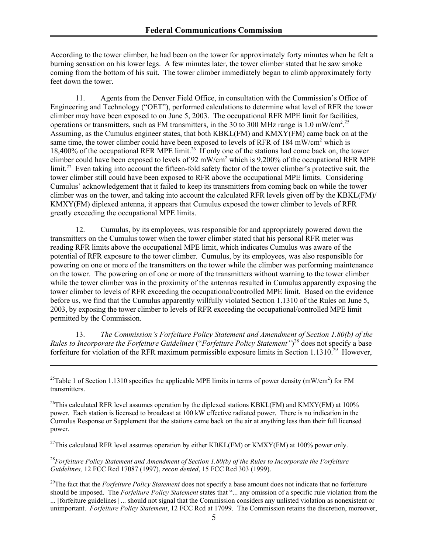According to the tower climber, he had been on the tower for approximately forty minutes when he felt a burning sensation on his lower legs. A few minutes later, the tower climber stated that he saw smoke coming from the bottom of his suit. The tower climber immediately began to climb approximately forty feet down the tower.

11. Agents from the Denver Field Office, in consultation with the Commission's Office of Engineering and Technology ("OET"), performed calculations to determine what level of RFR the tower climber may have been exposed to on June 5, 2003. The occupational RFR MPE limit for facilities, operations or transmitters, such as FM transmitters, in the 30 to 300 MHz range is 1.0 mW/cm<sup>2</sup>.<sup>25</sup> Assuming, as the Cumulus engineer states, that both KBKL(FM) and KMXY(FM) came back on at the same time, the tower climber could have been exposed to levels of RFR of 184 mW/cm<sup>2</sup> which is 18,400% of the occupational RFR MPE limit.<sup>26</sup> If only one of the stations had come back on, the tower climber could have been exposed to levels of 92 mW/cm<sup>2</sup> which is 9,200% of the occupational RFR MPE limit.<sup>27</sup> Even taking into account the fifteen-fold safety factor of the tower climber's protective suit, the tower climber still could have been exposed to RFR above the occupational MPE limits. Considering Cumulus' acknowledgement that it failed to keep its transmitters from coming back on while the tower climber was on the tower, and taking into account the calculated RFR levels given off by the KBKL(FM)/ KMXY(FM) diplexed antenna, it appears that Cumulus exposed the tower climber to levels of RFR greatly exceeding the occupational MPE limits.

12. Cumulus, by its employees, was responsible for and appropriately powered down the transmitters on the Cumulus tower when the tower climber stated that his personal RFR meter was reading RFR limits above the occupational MPE limit, which indicates Cumulus was aware of the potential of RFR exposure to the tower climber. Cumulus, by its employees, was also responsible for powering on one or more of the transmitters on the tower while the climber was performing maintenance on the tower. The powering on of one or more of the transmitters without warning to the tower climber while the tower climber was in the proximity of the antennas resulted in Cumulus apparently exposing the tower climber to levels of RFR exceeding the occupational/controlled MPE limit. Based on the evidence before us, we find that the Cumulus apparently willfully violated Section 1.1310 of the Rules on June 5, 2003, by exposing the tower climber to levels of RFR exceeding the occupational/controlled MPE limit permitted by the Commission.

13. *The Commission's Forfeiture Policy Statement and Amendment of Section 1.80(b) of the Rules to Incorporate the Forfeiture Guidelines* ("*Forfeiture Policy Statement"*) 28 does not specify a base forfeiture for violation of the RFR maximum permissible exposure limits in Section 1.1310.<sup>29</sup> However,

<sup>25</sup>Table 1 of Section 1.1310 specifies the applicable MPE limits in terms of power density (mW/cm<sup>2</sup>) for FM transmitters.

 $\overline{\phantom{a}}$ 

<sup>26</sup>This calculated RFR level assumes operation by the diplexed stations KBKL(FM) and KMXY(FM) at 100% power. Each station is licensed to broadcast at 100 kW effective radiated power. There is no indication in the Cumulus Response or Supplement that the stations came back on the air at anything less than their full licensed power.

<sup>27</sup>This calculated RFR level assumes operation by either KBKL(FM) or KMXY(FM) at 100% power only.

<sup>28</sup>*Forfeiture Policy Statement and Amendment of Section 1.80(b) of the Rules to Incorporate the Forfeiture Guidelines,* 12 FCC Rcd 17087 (1997), *recon denied*, 15 FCC Rcd 303 (1999).

<sup>29</sup>The fact that the *Forfeiture Policy Statement* does not specify a base amount does not indicate that no forfeiture should be imposed. The *Forfeiture Policy Statement* states that "... any omission of a specific rule violation from the ... [forfeiture guidelines] ... should not signal that the Commission considers any unlisted violation as nonexistent or unimportant. *Forfeiture Policy Statement*, 12 FCC Rcd at 17099. The Commission retains the discretion, moreover,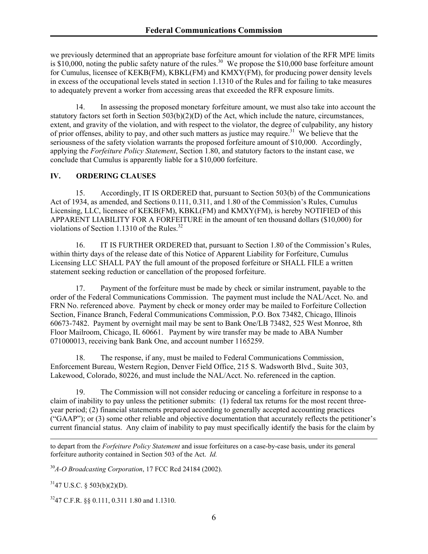we previously determined that an appropriate base forfeiture amount for violation of the RFR MPE limits is  $$10,000$ , noting the public safety nature of the rules.<sup>30</sup> We propose the \$10,000 base forfeiture amount for Cumulus, licensee of KEKB(FM), KBKL(FM) and KMXY(FM), for producing power density levels in excess of the occupational levels stated in section 1.1310 of the Rules and for failing to take measures to adequately prevent a worker from accessing areas that exceeded the RFR exposure limits.

14. In assessing the proposed monetary forfeiture amount, we must also take into account the statutory factors set forth in Section 503(b)(2)(D) of the Act, which include the nature, circumstances, extent, and gravity of the violation, and with respect to the violator, the degree of culpability, any history of prior offenses, ability to pay, and other such matters as justice may require.<sup>31</sup> We believe that the seriousness of the safety violation warrants the proposed forfeiture amount of \$10,000. Accordingly, applying the *Forfeiture Policy Statement*, Section 1.80, and statutory factors to the instant case, we conclude that Cumulus is apparently liable for a \$10,000 forfeiture.

# **IV. ORDERING CLAUSES**

15. Accordingly, IT IS ORDERED that, pursuant to Section 503(b) of the Communications Act of 1934, as amended, and Sections 0.111, 0.311, and 1.80 of the Commission's Rules, Cumulus Licensing, LLC, licensee of KEKB(FM), KBKL(FM) and KMXY(FM), is hereby NOTIFIED of this APPARENT LIABILITY FOR A FORFEITURE in the amount of ten thousand dollars (\$10,000) for violations of Section 1.1310 of the Rules.<sup>32</sup>

16. IT IS FURTHER ORDERED that, pursuant to Section 1.80 of the Commission's Rules, within thirty days of the release date of this Notice of Apparent Liability for Forfeiture, Cumulus Licensing LLC SHALL PAY the full amount of the proposed forfeiture or SHALL FILE a written statement seeking reduction or cancellation of the proposed forfeiture.

17. Payment of the forfeiture must be made by check or similar instrument, payable to the order of the Federal Communications Commission. The payment must include the NAL/Acct. No. and FRN No. referenced above. Payment by check or money order may be mailed to Forfeiture Collection Section, Finance Branch, Federal Communications Commission, P.O. Box 73482, Chicago, Illinois 60673-7482. Payment by overnight mail may be sent to Bank One/LB 73482, 525 West Monroe, 8th Floor Mailroom, Chicago, IL 60661. Payment by wire transfer may be made to ABA Number 071000013, receiving bank Bank One, and account number 1165259.

18. The response, if any, must be mailed to Federal Communications Commission, Enforcement Bureau, Western Region, Denver Field Office, 215 S. Wadsworth Blvd., Suite 303, Lakewood, Colorado, 80226, and must include the NAL/Acct. No. referenced in the caption.

19. The Commission will not consider reducing or canceling a forfeiture in response to a claim of inability to pay unless the petitioner submits: (1) federal tax returns for the most recent threeyear period; (2) financial statements prepared according to generally accepted accounting practices ("GAAP"); or (3) some other reliable and objective documentation that accurately reflects the petitioner's current financial status. Any claim of inability to pay must specifically identify the basis for the claim by

to depart from the *Forfeiture Policy Statement* and issue forfeitures on a case-by-case basis, under its general forfeiture authority contained in Section 503 of the Act. *Id.*

<sup>30</sup>*A-O Broadcasting Corporation*, 17 FCC Rcd 24184 (2002).

 $3147$  U.S.C. § 503(b)(2)(D).

 $\overline{\phantom{a}}$ 

3247 C.F.R. §§ 0.111, 0.311 1.80 and 1.1310.